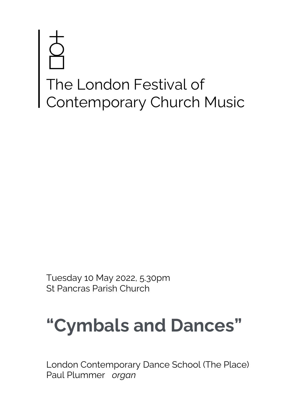# The London Festival of Contemporary Church Music

Tuesday 10 May 2022, 5.30pm St Pancras Parish Church

# **"Cymbals and Dances"**

London Contemporary Dance School (The Place) Paul Plummer *organ*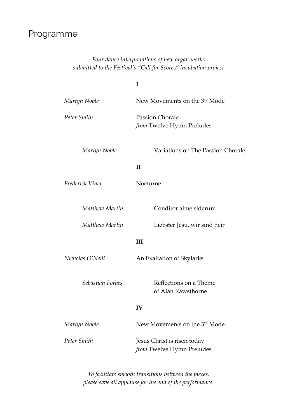# Programme

# *Four dance interpretations of new organ works submitted to the Festival's "Call for Scores" incubation project*

|                  | I                                                        |
|------------------|----------------------------------------------------------|
| Martyn Noble     | New Movements on the 3rd Mode                            |
| Peter Smith      | <b>Passion Chorale</b><br>from Twelve Hymn Preludes      |
| Martyn Noble     | Variations on The Passion Chorale                        |
|                  | $\mathbf{I}$                                             |
| Frederick Viner  | Nocturne                                                 |
| Matthew Martin   | Conditor alme siderum                                    |
| Matthew Martin   | Liebster Jesu, wir sind heir                             |
|                  | III                                                      |
| Nicholas O'Neill | An Exaltation of Skylarks                                |
| Sebastian Forbes | Reflections on a Theme<br>of Alan Rawsthorne             |
|                  | IV                                                       |
| Martyn Noble     | New Movements on the 3rd Mode                            |
| Peter Smith      | Jesus Christ is risen today<br>from Twelve Hymn Preludes |

*To facilitate smooth transitions between the pieces, please save all applause for the end of the performance.*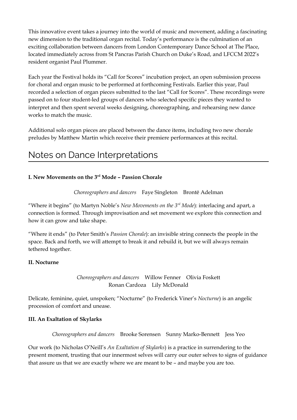This innovative event takes a journey into the world of music and movement, adding a fascinating new dimension to the traditional organ recital. Today's performance is the culmination of an exciting collaboration between dancers from London Contemporary Dance School at The Place, located immediately across from St Pancras Parish Church on Duke's Road, and LFCCM 2022's resident organist Paul Plummer.

Each year the Festival holds its "Call for Scores" incubation project, an open submission process for choral and organ music to be performed at forthcoming Festivals. Earlier this year, Paul recorded a selection of organ pieces submitted to the last "Call for Scores". These recordings were passed on to four student-led groups of dancers who selected specific pieces they wanted to interpret and then spent several weeks designing, choreographing, and rehearsing new dance works to match the music.

Additional solo organ pieces are placed between the dance items, including two new chorale preludes by Matthew Martin which receive their premiere performances at this recital.

# Notes on Dance Interpretations

# **I. New Movements on the 3rd Mode – Passion Chorale**

*Choreographers and dancers* Faye Singleton Brontë Adelman

"Where it begins" (to Martyn Noble's *New Movements on the 3rd Mode*): interlacing and apart, a connection is formed. Through improvisation and set movement we explore this connection and how it can grow and take shape.

"Where it ends" (to Peter Smith's *Passion Chorale*): an invisible string connects the people in the space. Back and forth, we will attempt to break it and rebuild it, but we will always remain tethered together.

# **II. Nocturne**

*Choreographers and dancers* Willow Fenner Olivia Foskett Ronan Cardoza Lily McDonald

Delicate, feminine, quiet, unspoken; "Nocturne" (to Frederick Viner's *Nocturne*) is an angelic procession of comfort and unease.

# **III. An Exaltation of Skylarks**

*Choreographers and dancers* Brooke Sorensen Sunny Marko-Bennett Jess Yeo

Our work (to Nicholas O'Neill's *An Exaltation of Skylarks*) is a practice in surrendering to the present moment, trusting that our innermost selves will carry our outer selves to signs of guidance that assure us that we are exactly where we are meant to be – and maybe you are too.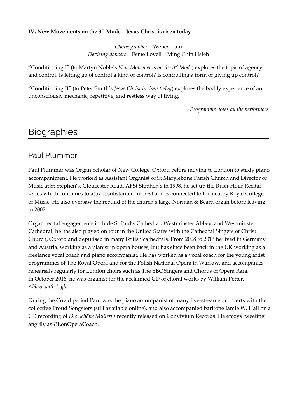# **IV. New Movements on the 3rd Mode – Jesus Christ is risen today**

*Choreographer* Wency Lam *Devising dancers* Esme Lovell Ming Chin Hsieh

"Conditioning I" (to Martyn Noble's *New Movements on the 3rd Mode*) explores the topic of agency and control. Is letting go of control a kind of control? Is controlling a form of giving up control?

"Conditioning II" (to Peter Smith's *Jesus Christ is risen today*) explores the bodily experience of an unconsciously mechanic, repetitive, and restless way of living.

*Programme notes by the performers*

# **Biographies**

# Paul Plummer

Paul Plummer was Organ Scholar of New College, Oxford before moving to London to study piano accompaniment. He worked as Assistant Organist of St Marylebone Parish Church and Director of Music at St Stephen's, Gloucester Road. At St Stephen's in 1998, he set up the Rush-Hour Recital series which continues to attract substantial interest and is connected to the nearby Royal College of Music. He also oversaw the rebuild of the church's large Norman & Beard organ before leaving in 2002.

Organ recital engagements include St Paul's Cathedral, Westminster Abbey, and Westminster Cathedral; he has also played on tour in the United States with the Cathedral Singers of Christ Church, Oxford and deputised in many British cathedrals. From 2008 to 2013 he lived in Germany and Austria, working as a pianist in opera houses, but has since been back in the UK working as a freelance vocal coach and piano accompanist. He has worked as a vocal coach for the young artist programmes of The Royal Opera and for the Polish National Opera in Warsaw, and accompanies rehearsals regularly for London choirs such as The BBC Singers and Chorus of Opera Rara. In October 2016, he was organist for the acclaimed CD of choral works by William Petter, *Ablaze with Light*.

During the Covid period Paul was the piano accompanist of many live-streamed concerts with the collective Proud Songsters (still available online), and also accompanied baritone Jamie W. Hall on a CD recording of *Die Schöne Müllerin* recently released on Convivium Records. He enjoys tweeting angrily as @LonOperaCoach.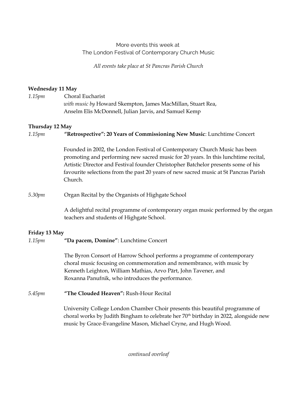# More events this week at The London Festival of Contemporary Church Music

*All events take place at St Pancras Parish Church*

# **Wednesday 11 May**

| 1.15pm | Choral Eucharist                                            |
|--------|-------------------------------------------------------------|
|        | with music by Howard Skempton, James MacMillan, Stuart Rea, |
|        | Anselm Elis McDonnell, Julian Jarvis, and Samuel Kemp       |

# **Thursday 12 May**

*1.15pm* **"Retrospective": 20 Years of Commissioning New Music**: Lunchtime Concert

Founded in 2002, the London Festival of Contemporary Church Music has been promoting and performing new sacred music for 20 years. In this lunchtime recital, Artistic Director and Festival founder Christopher Batchelor presents some of his favourite selections from the past 20 years of new sacred music at St Pancras Parish Church.

# *5.30pm* Organ Recital by the Organists of Highgate School

A delightful recital programme of contemporary organ music performed by the organ teachers and students of Highgate School.

# **Friday 13 May**

# *1.15pm* **"Da pacem, Domine"**: Lunchtime Concert

The Byron Consort of Harrow School performs a programme of contemporary choral music focusing on commemoration and remembrance, with music by Kenneth Leighton, William Mathias, Arvo Pärt, John Tavener, and Roxanna Panufnik, who introduces the performance.

# *5.45pm* **"The Clouded Heaven":** Rush-Hour Recital

University College London Chamber Choir presents this beautiful programme of choral works by Judith Bingham to celebrate her 70th birthday in 2022, alongside new music by Grace-Evangeline Mason, Michael Cryne, and Hugh Wood.

*continued overleaf*